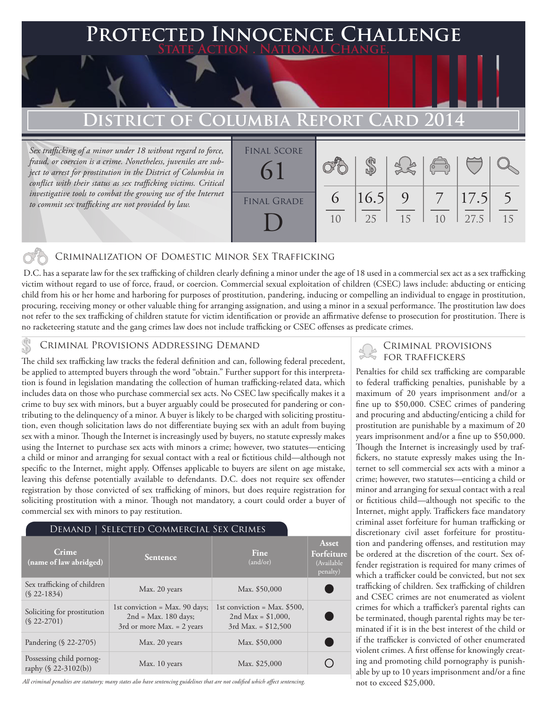# **PECTED INNOCENCE CHALLENGE State Action . National Change.**

# **DISTRICT OF COLUMBIA REPORT CARD 20**

*Sex trafficking of a minor under 18 without regard to force, fraud, or coercion is a crime. Nonetheless, juveniles are subject to arrest for prostitution in the District of Columbia in conflict with their status as sex trafficking victims. Critical*  investigative tools to combat the growing use of the Internet *to commit sex trafficking are not provided by law.*



# Criminalization of Domestic Minor Sex Trafficking

 D.C. has a separate law for the sex trafficking of children clearly defining a minor under the age of 18 used in a commercial sex act as a sex trafficking victim without regard to use of force, fraud, or coercion. Commercial sexual exploitation of children (CSEC) laws include: abducting or enticing child from his or her home and harboring for purposes of prostitution, pandering, inducing or compelling an individual to engage in prostitution, procuring, receiving money or other valuable thing for arranging assignation, and using a minor in a sexual performance. The prostitution law does not refer to the sex trafficking of children statute for victim identification or provide an affirmative defense to prosecution for prostitution. There is no racketeering statute and the gang crimes law does not include trafficking or CSEC offenses as predicate crimes.

# Criminal Provisions Addressing Demand

The child sex trafficking law tracks the federal definition and can, following federal precedent, be applied to attempted buyers through the word "obtain." Further support for this interpretation is found in legislation mandating the collection of human trafficking-related data, which includes data on those who purchase commercial sex acts. No CSEC law specifically makes it a crime to buy sex with minors, but a buyer arguably could be prosecuted for pandering or contributing to the delinquency of a minor. A buyer is likely to be charged with soliciting prostitution, even though solicitation laws do not differentiate buying sex with an adult from buying sex with a minor. Though the Internet is increasingly used by buyers, no statute expressly makes using the Internet to purchase sex acts with minors a crime; however, two statutes—enticing a child or minor and arranging for sexual contact with a real or fictitious child—although not specific to the Internet, might apply. Offenses applicable to buyers are silent on age mistake, leaving this defense potentially available to defendants. D.C. does not require sex offender registration by those convicted of sex trafficking of minors, but does require registration for soliciting prostitution with a minor. Though not mandatory, a court could order a buyer of commercial sex with minors to pay restitution.

#### Demand | Selected Commercial Sex Crimes

| Crime<br>(name of law abridged)                     | <b>Sentence</b>                                                                                     | Fine<br>(and/or)                                                                | Asset<br>Forfeiture<br>(Available)<br>penalty) |
|-----------------------------------------------------|-----------------------------------------------------------------------------------------------------|---------------------------------------------------------------------------------|------------------------------------------------|
| Sex trafficking of children<br>$(S$ 22-1834)        | Max. 20 years                                                                                       | Max. \$50,000                                                                   |                                                |
| Soliciting for prostitution<br>$(S$ 22-2701)        | 1st conviction = $Max. 90 \text{ days}$ ;<br>$2nd = Max. 180 days;$<br>3rd or more Max. $= 2$ years | 1st conviction = Max. $$500$ ,<br>2nd Max = $$1,000$ ,<br>$3rd$ Max. = \$12,500 |                                                |
| Pandering (§ 22-2705)                               | Max. 20 years                                                                                       | Max. \$50,000                                                                   |                                                |
| Possessing child pornog-<br>raphy $(\S 22-3102(b))$ | Max. 10 years                                                                                       | Max. \$25,000                                                                   |                                                |

*All criminal penalties are statutory; many states also have sentencing guidelines that are not codified which affect sentencing.* 

### Criminal provisions for traffickers

Penalties for child sex trafficking are comparable to federal trafficking penalties, punishable by a maximum of 20 years imprisonment and/or a fine up to \$50,000. CSEC crimes of pandering and procuring and abducting/enticing a child for prostitution are punishable by a maximum of 20 years imprisonment and/or a fine up to \$50,000. Though the Internet is increasingly used by traffickers, no statute expressly makes using the Internet to sell commercial sex acts with a minor a crime; however, two statutes—enticing a child or minor and arranging for sexual contact with a real or fictitious child—although not specific to the Internet, might apply. Traffickers face mandatory criminal asset forfeiture for human trafficking or discretionary civil asset forfeiture for prostitution and pandering offenses, and restitution may be ordered at the discretion of the court. Sex offender registration is required for many crimes of which a trafficker could be convicted, but not sex trafficking of children. Sex trafficking of children and CSEC crimes are not enumerated as violent crimes for which a trafficker's parental rights can be terminated, though parental rights may be terminated if it is in the best interest of the child or if the trafficker is convicted of other enumerated violent crimes. A first offense for knowingly creating and promoting child pornography is punishable by up to 10 years imprisonment and/or a fine not to exceed \$25,000.